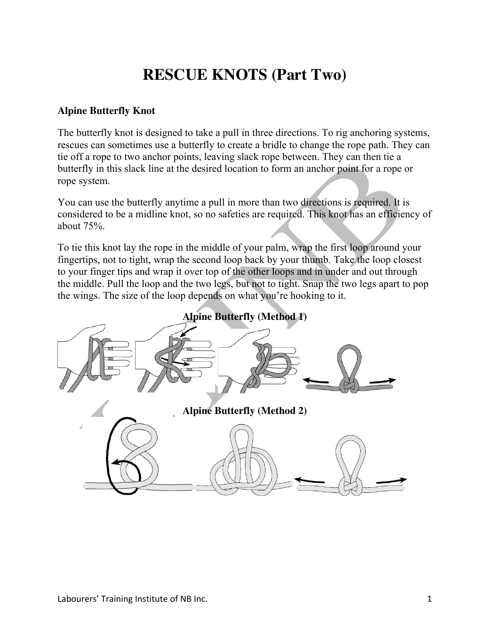## **RESCUE KNOTS (Part Two)**

## **Alpine Butterfly Knot**

The butterfly knot is designed to take a pull in three directions. To rig anchoring systems, rescues can sometimes use a butterfly to create a bridle to change the rope path. They can tie off a rope to two anchor points, leaving slack rope between. They can then tie a butterfly in this slack line at the desired location to form an anchor point for a rope or rope system.

You can use the butterfly anytime a pull in more than two directions is required. It is considered to be a midline knot, so no safeties are required. This knot has an efficiency of about 75%.

To tie this knot lay the rope in the middle of your palm, wrap the first loop around your fingertips, not to tight, wrap the second loop back by your thumb. Take the loop closest to your finger tips and wrap it over top of the other loops and in under and out through the middle. Pull the loop and the two legs, but not to tight. Snap the two legs apart to pop the wings. The size of the loop depends on what you're hooking to it.